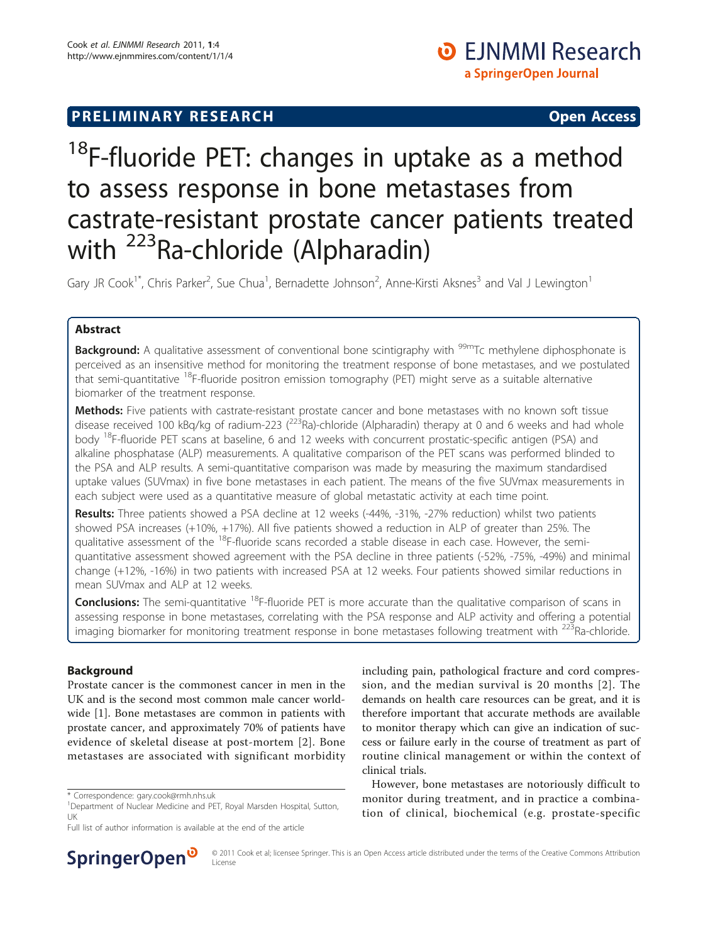## **PRELIMINARY RESEARCH CONSTRUCTED ACCESS**

# <sup>18</sup>F-fluoride PET: changes in uptake as a method to assess response in bone metastases from castrate-resistant prostate cancer patients treated with <sup>223</sup>Ra-chloride (Alpharadin)

Gary JR Cook<sup>1\*</sup>, Chris Parker<sup>2</sup>, Sue Chua<sup>1</sup>, Bernadette Johnson<sup>2</sup>, Anne-Kirsti Aksnes<sup>3</sup> and Val J Lewington<sup>1</sup>

## Abstract

**Background:** A qualitative assessment of conventional bone scintigraphy with <sup>99m</sup>Tc methylene diphosphonate is perceived as an insensitive method for monitoring the treatment response of bone metastases, and we postulated that semi-quantitative <sup>18</sup>F-fluoride positron emission tomography (PET) might serve as a suitable alternative biomarker of the treatment response.

Methods: Five patients with castrate-resistant prostate cancer and bone metastases with no known soft tissue disease received 100 kBq/kg of radium-223 ( $^{223}$ Ra)-chloride (Alpharadin) therapy at 0 and 6 weeks and had whole body <sup>18</sup>F-fluoride PET scans at baseline, 6 and 12 weeks with concurrent prostatic-specific antigen (PSA) and alkaline phosphatase (ALP) measurements. A qualitative comparison of the PET scans was performed blinded to the PSA and ALP results. A semi-quantitative comparison was made by measuring the maximum standardised uptake values (SUVmax) in five bone metastases in each patient. The means of the five SUVmax measurements in each subject were used as a quantitative measure of global metastatic activity at each time point.

Results: Three patients showed a PSA decline at 12 weeks (-44%, -31%, -27% reduction) whilst two patients showed PSA increases (+10%, +17%). All five patients showed a reduction in ALP of greater than 25%. The qualitative assessment of the <sup>18</sup>F-fluoride scans recorded a stable disease in each case. However, the semiquantitative assessment showed agreement with the PSA decline in three patients (-52%, -75%, -49%) and minimal change (+12%, -16%) in two patients with increased PSA at 12 weeks. Four patients showed similar reductions in mean SUVmax and ALP at 12 weeks.

**Conclusions:** The semi-quantitative <sup>18</sup>F-fluoride PET is more accurate than the qualitative comparison of scans in assessing response in bone metastases, correlating with the PSA response and ALP activity and offering a potential imaging biomarker for monitoring treatment response in bone metastases following treatment with <sup>223</sup>Ra-chloride.

## Background

Prostate cancer is the commonest cancer in men in the UK and is the second most common male cancer worldwide [[1\]](#page-4-0). Bone metastases are common in patients with prostate cancer, and approximately 70% of patients have evidence of skeletal disease at post-mortem [\[2\]](#page-4-0). Bone metastases are associated with significant morbidity



However, bone metastases are notoriously difficult to monitor during treatment, and in practice a combination of clinical, biochemical (e.g. prostate-specific



© 2011 Cook et al; licensee Springer. This is an Open Access article distributed under the terms of the Creative Commons Attribution License

<sup>\*</sup> Correspondence: [gary.cook@rmh.nhs.uk](mailto:gary.cook@rmh.nhs.uk)

<sup>&</sup>lt;sup>1</sup>Department of Nuclear Medicine and PET, Royal Marsden Hospital, Sutton, UK

Full list of author information is available at the end of the article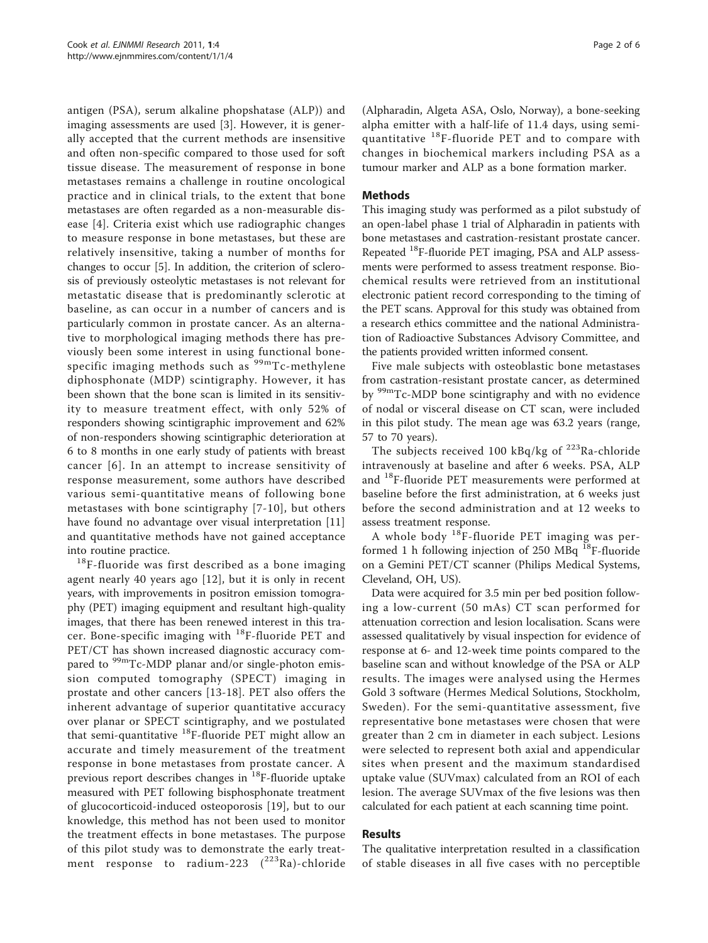antigen (PSA), serum alkaline phopshatase (ALP)) and imaging assessments are used [\[3](#page-4-0)]. However, it is generally accepted that the current methods are insensitive and often non-specific compared to those used for soft tissue disease. The measurement of response in bone metastases remains a challenge in routine oncological practice and in clinical trials, to the extent that bone metastases are often regarded as a non-measurable disease [[4](#page-4-0)]. Criteria exist which use radiographic changes to measure response in bone metastases, but these are relatively insensitive, taking a number of months for changes to occur [\[5](#page-4-0)]. In addition, the criterion of sclerosis of previously osteolytic metastases is not relevant for metastatic disease that is predominantly sclerotic at baseline, as can occur in a number of cancers and is particularly common in prostate cancer. As an alternative to morphological imaging methods there has previously been some interest in using functional bonespecific imaging methods such as  $99mTc$ -methylene diphosphonate (MDP) scintigraphy. However, it has been shown that the bone scan is limited in its sensitivity to measure treatment effect, with only 52% of responders showing scintigraphic improvement and 62% of non-responders showing scintigraphic deterioration at 6 to 8 months in one early study of patients with breast cancer [[6](#page-4-0)]. In an attempt to increase sensitivity of response measurement, some authors have described various semi-quantitative means of following bone metastases with bone scintigraphy [[7](#page-4-0)-[10\]](#page-5-0), but others have found no advantage over visual interpretation [\[11](#page-5-0)] and quantitative methods have not gained acceptance

into routine practice.  $18F$ -fluoride was first described as a bone imaging agent nearly 40 years ago [\[12\]](#page-5-0), but it is only in recent years, with improvements in positron emission tomography (PET) imaging equipment and resultant high-quality images, that there has been renewed interest in this tracer. Bone-specific imaging with 18F-fluoride PET and PET/CT has shown increased diagnostic accuracy compared to  $^{99m}$ Tc-MDP planar and/or single-photon emission computed tomography (SPECT) imaging in prostate and other cancers [[13-18](#page-5-0)]. PET also offers the inherent advantage of superior quantitative accuracy over planar or SPECT scintigraphy, and we postulated that semi-quantitative <sup>18</sup>F-fluoride PET might allow an accurate and timely measurement of the treatment response in bone metastases from prostate cancer. A previous report describes changes in 18F-fluoride uptake measured with PET following bisphosphonate treatment of glucocorticoid-induced osteoporosis [[19\]](#page-5-0), but to our knowledge, this method has not been used to monitor the treatment effects in bone metastases. The purpose of this pilot study was to demonstrate the early treatment response to radium-223  $(^{223}$ Ra)-chloride

(Alpharadin, Algeta ASA, Oslo, Norway), a bone-seeking alpha emitter with a half-life of 11.4 days, using semiquantitative  $^{18}$ F-fluoride PET and to compare with changes in biochemical markers including PSA as a tumour marker and ALP as a bone formation marker.

## Methods

This imaging study was performed as a pilot substudy of an open-label phase 1 trial of Alpharadin in patients with bone metastases and castration-resistant prostate cancer. Repeated 18F-fluoride PET imaging, PSA and ALP assessments were performed to assess treatment response. Biochemical results were retrieved from an institutional electronic patient record corresponding to the timing of the PET scans. Approval for this study was obtained from a research ethics committee and the national Administration of Radioactive Substances Advisory Committee, and the patients provided written informed consent.

Five male subjects with osteoblastic bone metastases from castration-resistant prostate cancer, as determined by <sup>99m</sup>Tc-MDP bone scintigraphy and with no evidence of nodal or visceral disease on CT scan, were included in this pilot study. The mean age was 63.2 years (range, 57 to 70 years).

The subjects received 100 kBq/kg of  $^{223}$ Ra-chloride intravenously at baseline and after 6 weeks. PSA, ALP and 18F-fluoride PET measurements were performed at baseline before the first administration, at 6 weeks just before the second administration and at 12 weeks to assess treatment response.

A whole body  $^{18}$ F-fluoride PET imaging was performed 1 h following injection of 250 MBq 18F-fluoride on a Gemini PET/CT scanner (Philips Medical Systems, Cleveland, OH, US).

Data were acquired for 3.5 min per bed position following a low-current (50 mAs) CT scan performed for attenuation correction and lesion localisation. Scans were assessed qualitatively by visual inspection for evidence of response at 6- and 12-week time points compared to the baseline scan and without knowledge of the PSA or ALP results. The images were analysed using the Hermes Gold 3 software (Hermes Medical Solutions, Stockholm, Sweden). For the semi-quantitative assessment, five representative bone metastases were chosen that were greater than 2 cm in diameter in each subject. Lesions were selected to represent both axial and appendicular sites when present and the maximum standardised uptake value (SUVmax) calculated from an ROI of each lesion. The average SUVmax of the five lesions was then calculated for each patient at each scanning time point.

### Results

The qualitative interpretation resulted in a classification of stable diseases in all five cases with no perceptible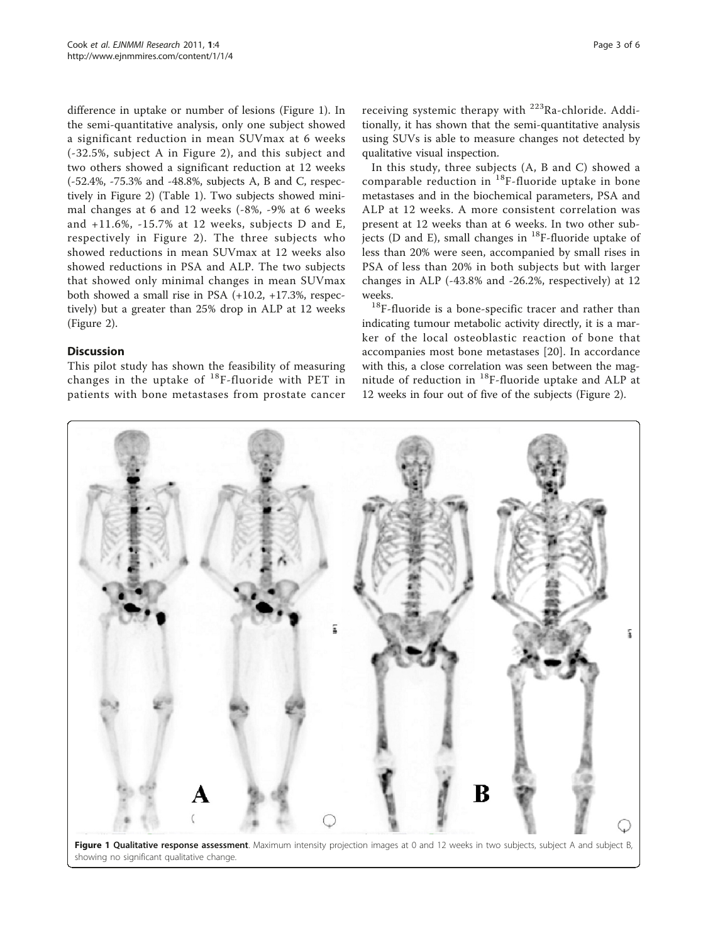difference in uptake or number of lesions (Figure 1). In the semi-quantitative analysis, only one subject showed a significant reduction in mean SUVmax at 6 weeks (-32.5%, subject A in Figure [2\)](#page-3-0), and this subject and two others showed a significant reduction at 12 weeks (-52.4%, -75.3% and -48.8%, subjects A, B and C, respectively in Figure [2\)](#page-3-0) (Table [1](#page-3-0)). Two subjects showed minimal changes at 6 and 12 weeks (-8%, -9% at 6 weeks and +11.6%, -15.7% at 12 weeks, subjects D and E, respectively in Figure [2](#page-3-0)). The three subjects who showed reductions in mean SUVmax at 12 weeks also showed reductions in PSA and ALP. The two subjects that showed only minimal changes in mean SUVmax both showed a small rise in PSA (+10.2, +17.3%, respectively) but a greater than 25% drop in ALP at 12 weeks (Figure [2\)](#page-3-0).

## **Discussion**

This pilot study has shown the feasibility of measuring changes in the uptake of  $^{18}$ F-fluoride with PET in patients with bone metastases from prostate cancer receiving systemic therapy with <sup>223</sup>Ra-chloride. Additionally, it has shown that the semi-quantitative analysis using SUVs is able to measure changes not detected by qualitative visual inspection.

In this study, three subjects (A, B and C) showed a comparable reduction in  $18F$ -fluoride uptake in bone metastases and in the biochemical parameters, PSA and ALP at 12 weeks. A more consistent correlation was present at 12 weeks than at 6 weeks. In two other subjects (D and E), small changes in  $^{18}$ F-fluoride uptake of less than 20% were seen, accompanied by small rises in PSA of less than 20% in both subjects but with larger changes in ALP (-43.8% and -26.2%, respectively) at 12

weeks.<br> $18F$ -fluoride is a bone-specific tracer and rather than indicating tumour metabolic activity directly, it is a marker of the local osteoblastic reaction of bone that accompanies most bone metastases [[20\]](#page-5-0). In accordance with this, a close correlation was seen between the magnitude of reduction in  $^{18}$ F-fluoride uptake and ALP at 12 weeks in four out of five of the subjects (Figure [2\)](#page-3-0).

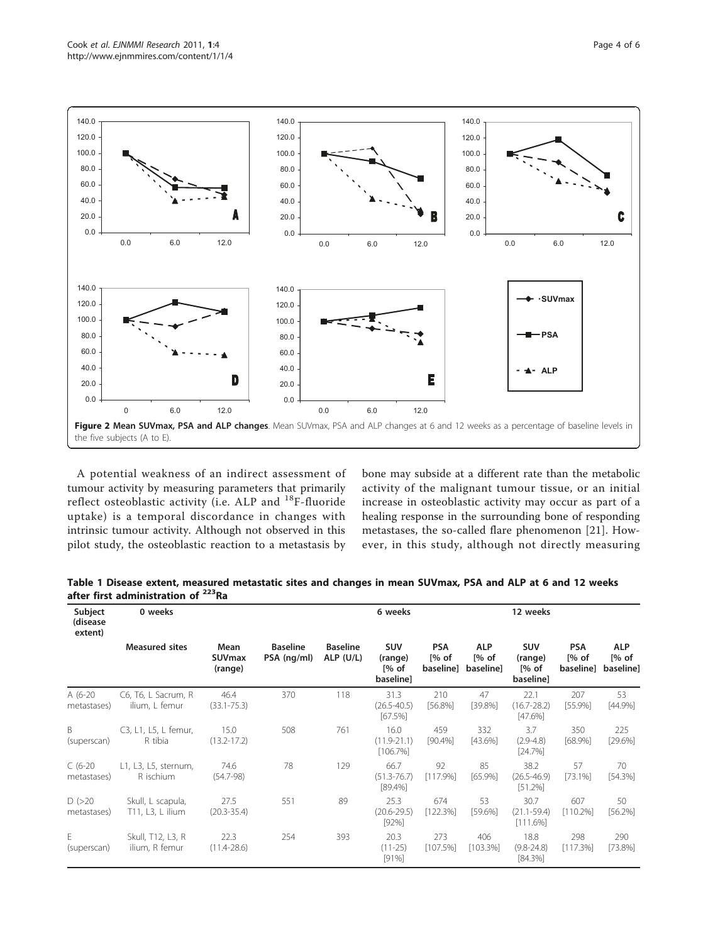<span id="page-3-0"></span>

A potential weakness of an indirect assessment of tumour activity by measuring parameters that primarily reflect osteoblastic activity (i.e. ALP and <sup>18</sup>F-fluoride uptake) is a temporal discordance in changes with intrinsic tumour activity. Although not observed in this pilot study, the osteoblastic reaction to a metastasis by bone may subside at a different rate than the metabolic activity of the malignant tumour tissue, or an initial increase in osteoblastic activity may occur as part of a healing response in the surrounding bone of responding metastases, the so-called flare phenomenon [[21](#page-5-0)]. However, in this study, although not directly measuring

| Table 1 Disease extent, measured metastatic sites and changes in mean SUVmax, PSA and ALP at 6 and 12 weeks |  |  |  |
|-------------------------------------------------------------------------------------------------------------|--|--|--|
| after first administration of <sup>223</sup> Ra                                                             |  |  |  |

| Subject<br>(disease<br>extent) | 0 weeks                               |                                  |                                | 6 weeks                        |                                              |                                   | 12 weeks                          |                                        |                                   |                                   |
|--------------------------------|---------------------------------------|----------------------------------|--------------------------------|--------------------------------|----------------------------------------------|-----------------------------------|-----------------------------------|----------------------------------------|-----------------------------------|-----------------------------------|
|                                | <b>Measured sites</b>                 | Mean<br><b>SUVmax</b><br>(range) | <b>Baseline</b><br>PSA (ng/ml) | <b>Baseline</b><br>$ALP$ (U/L) | <b>SUV</b><br>(range)<br>[% of]<br>baseline] | <b>PSA</b><br>[% of]<br>baseline] | <b>ALP</b><br>[% of]<br>baseline] | SUV<br>(range)<br>[% of]<br>baseline]  | <b>PSA</b><br>[% of]<br>baseline] | <b>ALP</b><br>[% of]<br>baseline] |
| $A(6-20)$<br>metastases)       | C6, T6, L Sacrum, R<br>ilium, L femur | 46.4<br>$(33.1 - 75.3)$          | 370                            | 118                            | 31.3<br>$(26.5 - 40.5)$<br>[67.5%]           | 210<br>$[56.8\%]$                 | 47<br>$[39.8\%]$                  | 22.1<br>$(16.7 - 28.2)$<br>[47.6%]     | 207<br>[55.9%]                    | 53<br>$[44.9\%]$                  |
| B<br>(superscan)               | C3, L1, L5, L femur,<br>R tibia       | 15.0<br>$(13.2 - 17.2)$          | 508                            | 761                            | 16.0<br>$(11.9 - 21.1)$<br>$[106.7\%]$       | 459<br>[90.4%]                    | 332<br>$[43.6\%]$                 | 3.7<br>$(2.9 - 4.8)$<br>[24.7%]        | 350<br>$[68.9\%]$                 | 225<br>[29.6%]                    |
| $C(6-20)$<br>metastases)       | L1, L3, L5, sternum,<br>R ischium     | 74.6<br>$(54.7-98)$              | 78                             | 129                            | 66.7<br>$(51.3 - 76.7)$<br>$[89.4\%]$        | 92<br>[117.9%]                    | 85<br>$[65.9\%]$                  | 38.2<br>$(26.5 - 46.9)$<br>[51.2%]     | 57<br>$[73.1\%]$                  | 70<br>$[54.3\%]$                  |
| D(>20)<br>metastases)          | Skull, L scapula,<br>T11, L3, L ilium | 27.5<br>$(20.3 - 35.4)$          | 551                            | 89                             | 25.3<br>$(20.6 - 29.5)$<br>[92%]             | 674<br>[122.3%]                   | 53<br>$[59.6\%]$                  | 30.7<br>$(21.1 - 59.4)$<br>$[111.6\%]$ | 607<br>$[110.2\%]$                | 50<br>$[56.2\%]$                  |
| E<br>(superscan)               | Skull, T12, L3, R<br>ilium, R femur   | 22.3<br>$(11.4 - 28.6)$          | 254                            | 393                            | 20.3<br>$(11-25)$<br>$[91\%]$                | 273<br>$[107.5\%]$                | 406<br>[103.3%]                   | 18.8<br>$(9.8 - 24.8)$<br>$[84.3\%]$   | 298<br>$[117.3\%]$                | 290<br>$[73.8\%]$                 |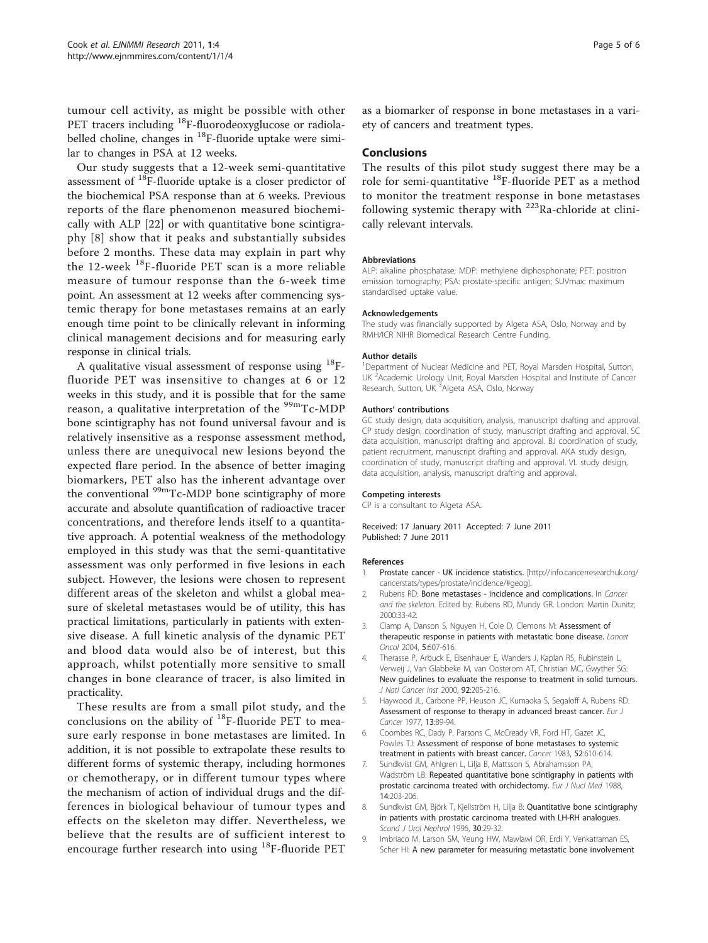<span id="page-4-0"></span>tumour cell activity, as might be possible with other PET tracers including <sup>18</sup>F-fluorodeoxyglucose or radiolabelled choline, changes in <sup>18</sup>F-fluoride uptake were similar to changes in PSA at 12 weeks.

Our study suggests that a 12-week semi-quantitative assessment of 18F-fluoride uptake is a closer predictor of the biochemical PSA response than at 6 weeks. Previous reports of the flare phenomenon measured biochemically with ALP [[22](#page-5-0)] or with quantitative bone scintigraphy [8] show that it peaks and substantially subsides before 2 months. These data may explain in part why the 12-week 18F-fluoride PET scan is a more reliable measure of tumour response than the 6-week time point. An assessment at 12 weeks after commencing systemic therapy for bone metastases remains at an early enough time point to be clinically relevant in informing clinical management decisions and for measuring early response in clinical trials.

A qualitative visual assessment of response using  $^{18}$ Ffluoride PET was insensitive to changes at 6 or 12 weeks in this study, and it is possible that for the same reason, a qualitative interpretation of the <sup>99m</sup>Tc-MDP bone scintigraphy has not found universal favour and is relatively insensitive as a response assessment method, unless there are unequivocal new lesions beyond the expected flare period. In the absence of better imaging biomarkers, PET also has the inherent advantage over the conventional <sup>99m</sup>Tc-MDP bone scintigraphy of more accurate and absolute quantification of radioactive tracer concentrations, and therefore lends itself to a quantitative approach. A potential weakness of the methodology employed in this study was that the semi-quantitative assessment was only performed in five lesions in each subject. However, the lesions were chosen to represent different areas of the skeleton and whilst a global measure of skeletal metastases would be of utility, this has practical limitations, particularly in patients with extensive disease. A full kinetic analysis of the dynamic PET and blood data would also be of interest, but this approach, whilst potentially more sensitive to small changes in bone clearance of tracer, is also limited in practicality.

These results are from a small pilot study, and the conclusions on the ability of  $^{18}$ F-fluoride PET to measure early response in bone metastases are limited. In addition, it is not possible to extrapolate these results to different forms of systemic therapy, including hormones or chemotherapy, or in different tumour types where the mechanism of action of individual drugs and the differences in biological behaviour of tumour types and effects on the skeleton may differ. Nevertheless, we believe that the results are of sufficient interest to encourage further research into using 18F-fluoride PET as a biomarker of response in bone metastases in a variety of cancers and treatment types.

## Conclusions

The results of this pilot study suggest there may be a role for semi-quantitative 18F-fluoride PET as a method to monitor the treatment response in bone metastases following systemic therapy with  $^{223}$ Ra-chloride at clinically relevant intervals.

#### Abbreviations

ALP: alkaline phosphatase; MDP: methylene diphosphonate; PET: positron emission tomography; PSA: prostate-specific antigen; SUVmax: maximum standardised uptake value.

#### Acknowledgements

The study was financially supported by Algeta ASA, Oslo, Norway and by RMH/ICR NIHR Biomedical Research Centre Funding.

#### Author details

<sup>1</sup>Department of Nuclear Medicine and PET, Royal Marsden Hospital, Sutton, UK<sup>2</sup> Academic Urology Unit, Royal Marsden Hospital and Institute of Cancer Research, Sutton, UK<sup>3</sup>Algeta ASA, Oslo, Norway

#### Authors' contributions

GC study design, data acquisition, analysis, manuscript drafting and approval. CP study design, coordination of study, manuscript drafting and approval. SC data acquisition, manuscript drafting and approval. BJ coordination of study, patient recruitment, manuscript drafting and approval. AKA study design, coordination of study, manuscript drafting and approval. VL study design, data acquisition, analysis, manuscript drafting and approval.

#### Competing interests

CP is a consultant to Algeta ASA.

Received: 17 January 2011 Accepted: 7 June 2011 Published: 7 June 2011

#### References

- 1. Prostate cancer UK incidence statistics. [\[http://info.cancerresearchuk.org/](http://info.cancerresearchuk.org/cancerstats/types/prostate/incidence/#geog) [cancerstats/types/prostate/incidence/#geog](http://info.cancerresearchuk.org/cancerstats/types/prostate/incidence/#geog)].
- 2. Rubens RD: Bone metastases incidence and complications. In Cancer and the skeleton. Edited by: Rubens RD, Mundy GR. London: Martin Dunitz; 2000:33-42.
- 3. Clamp A, Danson S, Nguyen H, Cole D, Clemons M: Assessment of therapeutic response in patients with metastatic bone disease. Lancet Oncol 2004, 5:607-616.
- 4. Therasse P, Arbuck E, Eisenhauer E, Wanders J, Kaplan RS, Rubinstein L, Verweij J, Van Glabbeke M, van Oosterom AT, Christian MC, Gwyther SG: New guidelines to evaluate the response to treatment in solid tumours. J Natl Cancer Inst 2000, 92:205-216.
- Haywood JL, Carbone PP, Heuson JC, Kumaoka S, Segaloff A, Rubens RD: Assessment of response to therapy in advanced breast cancer. Eur J Cancer 1977, 13:89-94.
- 6. Coombes RC, Dady P, Parsons C, McCready VR, Ford HT, Gazet JC, Powles TJ: Assessment of response of bone metastases to systemic treatment in patients with breast cancer. Cancer 1983, 52:610-614.
- 7. Sundkvist GM, Ahlgren L, Lilja B, Mattsson S, Abrahamsson PA, Wadström LB: Repeated quantitative bone scintigraphy in patients with prostatic carcinoma treated with orchidectomy. Eur J Nucl Med 1988, 14:203-206.
- Sundkvist GM, Björk T, Kjellström H, Lilja B: Quantitative bone scintigraphy in patients with prostatic carcinoma treated with LH-RH analogues. Scand J Urol Nephrol 1996, 30:29-32.
- 9. Imbriaco M, Larson SM, Yeung HW, Mawlawi OR, Erdi Y, Venkatraman ES, Scher HI: A new parameter for measuring metastatic bone involvement